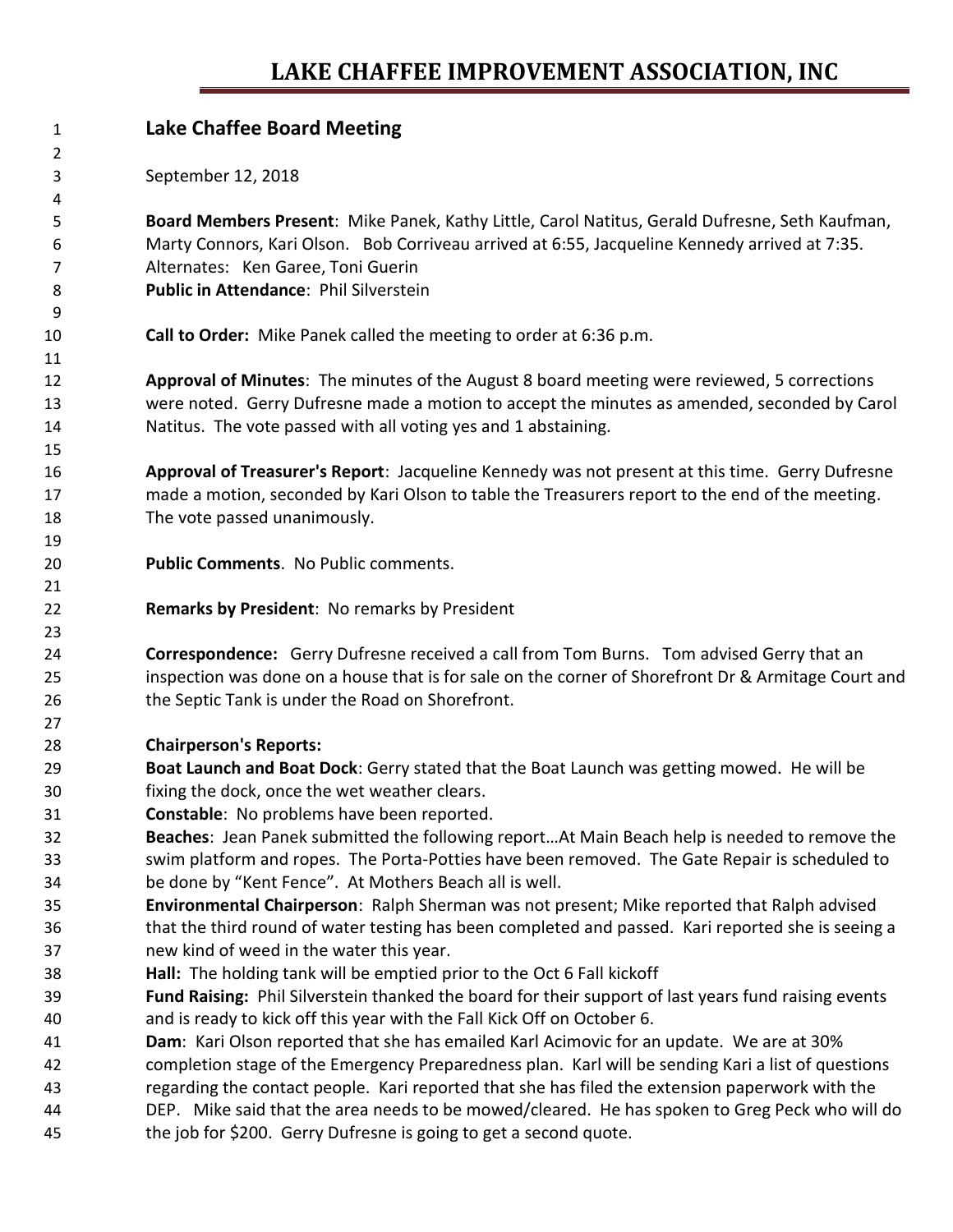## **LAKE CHAFFEE IMPROVEMENT ASSOCIATION, INC**

| 1              | <b>Lake Chaffee Board Meeting</b>                                                                    |
|----------------|------------------------------------------------------------------------------------------------------|
| $\overline{2}$ |                                                                                                      |
| 3              | September 12, 2018                                                                                   |
| 4              |                                                                                                      |
| 5              | Board Members Present: Mike Panek, Kathy Little, Carol Natitus, Gerald Dufresne, Seth Kaufman,       |
| 6              | Marty Connors, Kari Olson. Bob Corriveau arrived at 6:55, Jacqueline Kennedy arrived at 7:35.        |
| 7              | Alternates: Ken Garee, Toni Guerin                                                                   |
| 8              | Public in Attendance: Phil Silverstein                                                               |
| 9              |                                                                                                      |
| 10             | Call to Order: Mike Panek called the meeting to order at 6:36 p.m.                                   |
| 11<br>12       | Approval of Minutes: The minutes of the August 8 board meeting were reviewed, 5 corrections          |
| 13             | were noted. Gerry Dufresne made a motion to accept the minutes as amended, seconded by Carol         |
| 14             | Natitus. The vote passed with all voting yes and 1 abstaining.                                       |
| 15             |                                                                                                      |
| 16             | Approval of Treasurer's Report: Jacqueline Kennedy was not present at this time. Gerry Dufresne      |
| 17             | made a motion, seconded by Kari Olson to table the Treasurers report to the end of the meeting.      |
| 18             | The vote passed unanimously.                                                                         |
| 19             |                                                                                                      |
| 20             | Public Comments. No Public comments.                                                                 |
| 21             |                                                                                                      |
| 22             | Remarks by President: No remarks by President                                                        |
| 23             |                                                                                                      |
| 24             | Correspondence: Gerry Dufresne received a call from Tom Burns. Tom advised Gerry that an             |
| 25             | inspection was done on a house that is for sale on the corner of Shorefront Dr & Armitage Court and  |
| 26             | the Septic Tank is under the Road on Shorefront.                                                     |
| 27             |                                                                                                      |
| 28             | <b>Chairperson's Reports:</b>                                                                        |
| 29             | Boat Launch and Boat Dock: Gerry stated that the Boat Launch was getting mowed. He will be           |
| 30             | fixing the dock, once the wet weather clears.                                                        |
| 31             | Constable: No problems have been reported.                                                           |
| 32             | Beaches: Jean Panek submitted the following reportAt Main Beach help is needed to remove the         |
| 33             | swim platform and ropes. The Porta-Potties have been removed. The Gate Repair is scheduled to        |
| 34             | be done by "Kent Fence". At Mothers Beach all is well.                                               |
| 35             | Environmental Chairperson: Ralph Sherman was not present; Mike reported that Ralph advised           |
| 36             | that the third round of water testing has been completed and passed. Kari reported she is seeing a   |
| 37             | new kind of weed in the water this year.                                                             |
| 38             | Hall: The holding tank will be emptied prior to the Oct 6 Fall kickoff                               |
| 39             | Fund Raising: Phil Silverstein thanked the board for their support of last years fund raising events |
| 40             | and is ready to kick off this year with the Fall Kick Off on October 6.                              |
| 41             | Dam: Kari Olson reported that she has emailed Karl Acimovic for an update. We are at 30%             |
| 42             | completion stage of the Emergency Preparedness plan. Karl will be sending Kari a list of questions   |
| 43             | regarding the contact people. Kari reported that she has filed the extension paperwork with the      |
| 44             | DEP. Mike said that the area needs to be mowed/cleared. He has spoken to Greg Peck who will do       |
| 45             | the job for \$200. Gerry Dufresne is going to get a second quote.                                    |
|                |                                                                                                      |